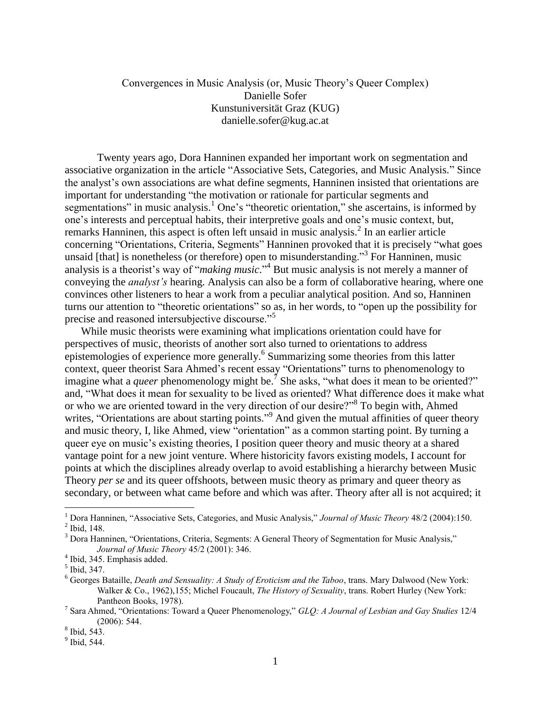## Convergences in Music Analysis (or, Music Theory's Queer Complex) Danielle Sofer Kunstuniversität Graz (KUG) danielle.sofer@kug.ac.at

Twenty years ago, Dora Hanninen expanded her important work on segmentation and associative organization in the article "Associative Sets, Categories, and Music Analysis." Since the analyst's own associations are what define segments, Hanninen insisted that orientations are important for understanding "the motivation or rationale for particular segments and segmentations" in music analysis.<sup>1</sup> One's "theoretic orientation," she ascertains, is informed by one's interests and perceptual habits, their interpretive goals and one's music context, but, remarks Hanninen, this aspect is often left unsaid in music analysis.<sup>2</sup> In an earlier article concerning "Orientations, Criteria, Segments" Hanninen provoked that it is precisely "what goes unsaid [that] is nonetheless (or therefore) open to misunderstanding."<sup>3</sup> For Hanninen, music analysis is a theorist's way of "*making music*." <sup>4</sup> But music analysis is not merely a manner of conveying the *analyst's* hearing. Analysis can also be a form of collaborative hearing, where one convinces other listeners to hear a work from a peculiar analytical position. And so, Hanninen turns our attention to "theoretic orientations" so as, in her words, to "open up the possibility for precise and reasoned intersubjective discourse."<sup>5</sup>

While music theorists were examining what implications orientation could have for perspectives of music, theorists of another sort also turned to orientations to address epistemologies of experience more generally.<sup>6</sup> Summarizing some theories from this latter context, queer theorist Sara Ahmed's recent essay "Orientations" turns to phenomenology to imagine what a *queer* phenomenology might be.<sup>7</sup> She asks, "what does it mean to be oriented?" and, "What does it mean for sexuality to be lived as oriented? What difference does it make what or who we are oriented toward in the very direction of our desire?"<sup>8</sup> To begin with, Ahmed writes, "Orientations are about starting points."<sup>9</sup> And given the mutual affinities of queer theory and music theory, I, like Ahmed, view "orientation" as a common starting point. By turning a queer eye on music's existing theories, I position queer theory and music theory at a shared vantage point for a new joint venture. Where historicity favors existing models, I account for points at which the disciplines already overlap to avoid establishing a hierarchy between Music Theory *per se* and its queer offshoots, between music theory as primary and queer theory as secondary, or between what came before and which was after. Theory after all is not acquired; it

<sup>1</sup> Dora Hanninen, "Associative Sets, Categories, and Music Analysis," *Journal of Music Theory* 48/2 (2004):150.  $<sup>2</sup>$  Ibid, 148.</sup>

<sup>3</sup> Dora Hanninen, "Orientations, Criteria, Segments: A General Theory of Segmentation for Music Analysis," *Journal of Music Theory* 45/2 (2001): 346.

<sup>4</sup> Ibid, 345. Emphasis added.

<sup>5</sup> Ibid, 347.

<sup>6</sup> Georges Bataille, *Death and Sensuality: A Study of Eroticism and the Taboo*, trans. Mary Dalwood (New York: Walker & Co., 1962),155; Michel Foucault, *The History of Sexuality*, trans. Robert Hurley (New York: Pantheon Books, 1978).

<sup>7</sup> Sara Ahmed, "Orientations: Toward a Queer Phenomenology," *GLQ: A Journal of Lesbian and Gay Studies* 12/4 (2006): 544.

<sup>8</sup> Ibid, 543.

 $<sup>9</sup>$  Ibid, 544.</sup>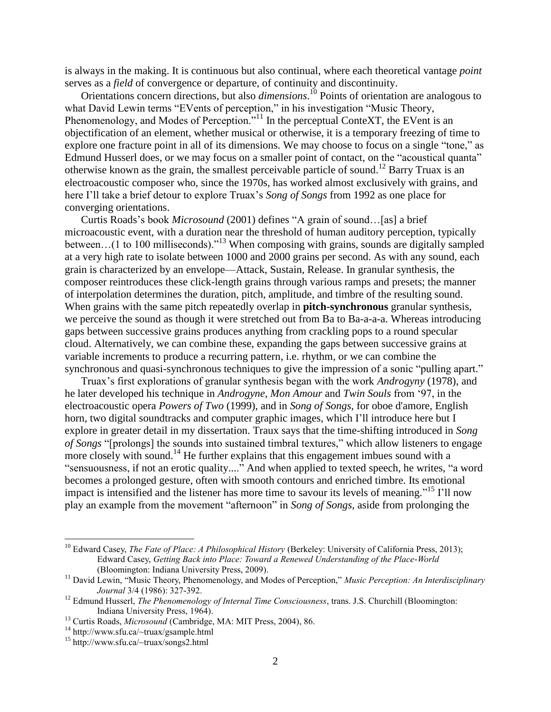is always in the making. It is continuous but also continual, where each theoretical vantage *point* serves as a *field* of convergence or departure, of continuity and discontinuity.

Orientations concern directions, but also *dimensions*. <sup>10</sup> Points of orientation are analogous to what David Lewin terms "EVents of perception," in his investigation "Music Theory, Phenomenology, and Modes of Perception.<sup>"11</sup> In the perceptual ConteXT, the EVent is an objectification of an element, whether musical or otherwise, it is a temporary freezing of time to explore one fracture point in all of its dimensions. We may choose to focus on a single "tone," as Edmund Husserl does, or we may focus on a smaller point of contact, on the "acoustical quanta" otherwise known as the grain, the smallest perceivable particle of sound.<sup>12</sup> Barry Truax is an electroacoustic composer who, since the 1970s, has worked almost exclusively with grains, and here I'll take a brief detour to explore Truax's *Song of Songs* from 1992 as one place for converging orientations.

Curtis Roads's book *Microsound* (2001) defines "A grain of sound…[as] a brief microacoustic event, with a duration near the threshold of human auditory perception, typically between...(1 to 100 milliseconds)."<sup>13</sup> When composing with grains, sounds are digitally sampled at a very high rate to isolate between 1000 and 2000 grains per second. As with any sound, each grain is characterized by an envelope—Attack, Sustain, Release. In granular synthesis, the composer reintroduces these click-length grains through various ramps and presets; the manner of interpolation determines the duration, pitch, amplitude, and timbre of the resulting sound. When grains with the same pitch repeatedly overlap in **pitch-synchronous** granular synthesis, we perceive the sound as though it were stretched out from Ba to Ba-a-a-a. Whereas introducing gaps between successive grains produces anything from crackling pops to a round specular cloud. Alternatively, we can combine these, expanding the gaps between successive grains at variable increments to produce a recurring pattern, i.e. rhythm, or we can combine the synchronous and quasi-synchronous techniques to give the impression of a sonic "pulling apart."

Truax's first explorations of granular synthesis began with the work *Androgyny* (1978), and he later developed his technique in *Androgyne, Mon Amour* and *Twin Souls* from '97, in the electroacoustic opera *Powers of Two* (1999), and in *Song of Songs*, for oboe d'amore, English horn, two digital soundtracks and computer graphic images, which I'll introduce here but I explore in greater detail in my dissertation. Traux says that the time-shifting introduced in *Song of Songs* "[prolongs] the sounds into sustained timbral textures," which allow listeners to engage more closely with sound.<sup>14</sup> He further explains that this engagement imbues sound with a "sensuousness, if not an erotic quality...." And when applied to texted speech, he writes, "a word becomes a prolonged gesture, often with smooth contours and enriched timbre. Its emotional impact is intensified and the listener has more time to savour its levels of meaning."<sup>15</sup> I'll now play an example from the movement "afternoon" in *Song of Songs,* aside from prolonging the

<sup>&</sup>lt;sup>10</sup> Edward Casey, *The Fate of Place: A Philosophical History* (Berkeley: University of California Press, 2013); Edward Casey, *Getting Back into Place: Toward a Renewed Understanding of the Place-World* (Bloomington: Indiana University Press, 2009).

<sup>11</sup> David Lewin, "Music Theory, Phenomenology, and Modes of Perception," *Music Perception: An Interdisciplinary Journal* 3/4 (1986): 327-392.

<sup>&</sup>lt;sup>12</sup> Edmund Husserl, *The Phenomenology of Internal Time Consciousness*, trans. J.S. Churchill (Bloomington: Indiana University Press, 1964).

<sup>13</sup> Curtis Roads, *Microsound* (Cambridge, MA: MIT Press, 2004), 86.

<sup>14</sup> http://www.sfu.ca/~truax/gsample.html

<sup>15</sup> http://www.sfu.ca/~truax/songs2.html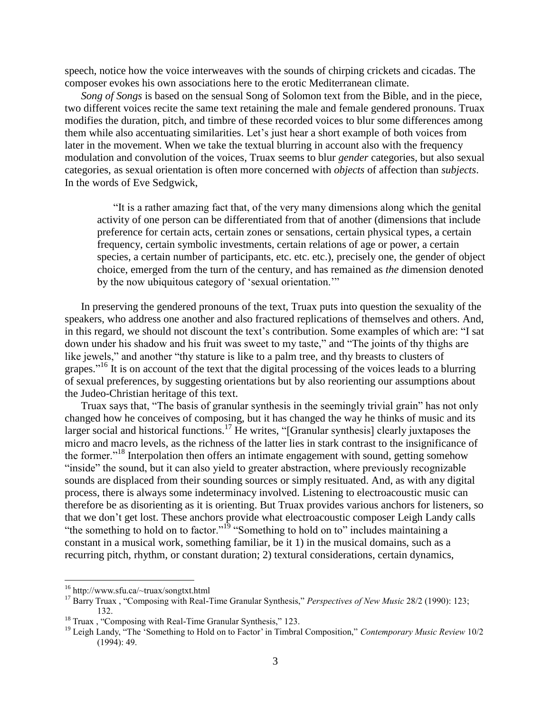speech, notice how the voice interweaves with the sounds of chirping crickets and cicadas. The composer evokes his own associations here to the erotic Mediterranean climate.

*Song of Songs* is based on the sensual Song of Solomon text from the Bible, and in the piece, two different voices recite the same text retaining the male and female gendered pronouns. Truax modifies the duration, pitch, and timbre of these recorded voices to blur some differences among them while also accentuating similarities. Let's just hear a short example of both voices from later in the movement. When we take the textual blurring in account also with the frequency modulation and convolution of the voices, Truax seems to blur *gender* categories, but also sexual categories, as sexual orientation is often more concerned with *objects* of affection than *subjects*. In the words of Eve Sedgwick,

"It is a rather amazing fact that, of the very many dimensions along which the genital activity of one person can be differentiated from that of another (dimensions that include preference for certain acts, certain zones or sensations, certain physical types, a certain frequency, certain symbolic investments, certain relations of age or power, a certain species, a certain number of participants, etc. etc. etc.), precisely one, the gender of object choice, emerged from the turn of the century, and has remained as *the* dimension denoted by the now ubiquitous category of 'sexual orientation.'"

In preserving the gendered pronouns of the text, Truax puts into question the sexuality of the speakers, who address one another and also fractured replications of themselves and others. And, in this regard, we should not discount the text's contribution. Some examples of which are: "I sat down under his shadow and his fruit was sweet to my taste," and "The joints of thy thighs are like jewels," and another "thy stature is like to a palm tree, and thy breasts to clusters of grapes."<sup>16</sup> It is on account of the text that the digital processing of the voices leads to a blurring of sexual preferences, by suggesting orientations but by also reorienting our assumptions about the Judeo-Christian heritage of this text.

Truax says that, "The basis of granular synthesis in the seemingly trivial grain" has not only changed how he conceives of composing, but it has changed the way he thinks of music and its larger social and historical functions.<sup>17</sup> He writes, "[Granular synthesis] clearly juxtaposes the micro and macro levels, as the richness of the latter lies in stark contrast to the insignificance of the former.<sup>"18</sup> Interpolation then offers an intimate engagement with sound, getting somehow "inside" the sound, but it can also yield to greater abstraction, where previously recognizable sounds are displaced from their sounding sources or simply resituated. And, as with any digital process, there is always some indeterminacy involved. Listening to electroacoustic music can therefore be as disorienting as it is orienting. But Truax provides various anchors for listeners, so that we don't get lost. These anchors provide what electroacoustic composer Leigh Landy calls "the something to hold on to factor."<sup>19</sup> "Something to hold on to" includes maintaining a constant in a musical work, something familiar, be it 1) in the musical domains, such as a recurring pitch, rhythm, or constant duration; 2) textural considerations, certain dynamics,

<sup>16</sup> http://www.sfu.ca/~truax/songtxt.html

<sup>17</sup> Barry Truax , "Composing with Real-Time Granular Synthesis," *Perspectives of New Music* 28/2 (1990): 123; 132.

<sup>&</sup>lt;sup>18</sup> Truax, "Composing with Real-Time Granular Synthesis," 123.

<sup>19</sup> Leigh Landy, "The 'Something to Hold on to Factor' in Timbral Composition," *Contemporary Music Review* 10/2 (1994): 49.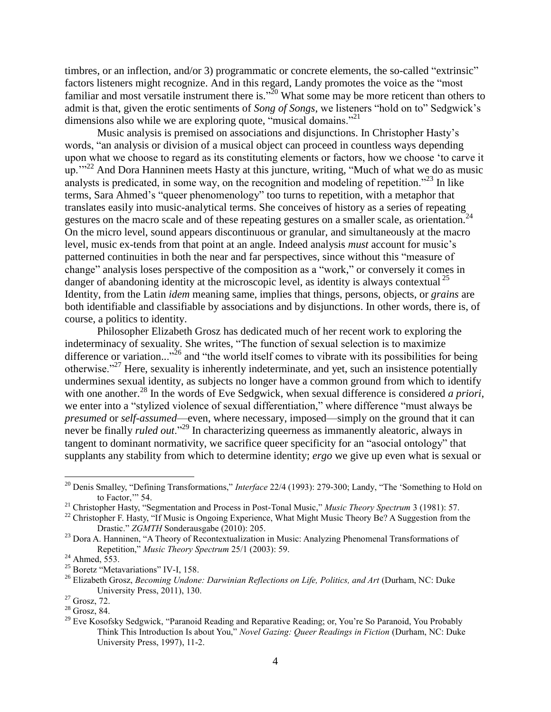timbres, or an inflection, and/or 3) programmatic or concrete elements, the so-called "extrinsic" factors listeners might recognize. And in this regard, Landy promotes the voice as the "most familiar and most versatile instrument there is.<sup> $20$ </sup> What some may be more reticent than others to admit is that, given the erotic sentiments of *Song of Songs*, we listeners "hold on to" Sedgwick's dimensions also while we are exploring quote, "musical domains."<sup>21</sup>

Music analysis is premised on associations and disjunctions. In Christopher Hasty's words, "an analysis or division of a musical object can proceed in countless ways depending upon what we choose to regard as its constituting elements or factors, how we choose 'to carve it up."<sup>22</sup> And Dora Hanninen meets Hasty at this juncture, writing, "Much of what we do as music analysts is predicated, in some way, on the recognition and modeling of repetition.<sup> $23$ </sup> In like terms, Sara Ahmed's "queer phenomenology" too turns to repetition, with a metaphor that translates easily into music-analytical terms. She conceives of history as a series of repeating gestures on the macro scale and of these repeating gestures on a smaller scale, as orientation.<sup>24</sup> On the micro level, sound appears discontinuous or granular, and simultaneously at the macro level, music ex-tends from that point at an angle. Indeed analysis *must* account for music's patterned continuities in both the near and far perspectives, since without this "measure of change" analysis loses perspective of the composition as a "work," or conversely it comes in danger of abandoning identity at the microscopic level, as identity is always contextual  $^{25}$ Identity, from the Latin *idem* meaning same, implies that things, persons, objects, or *grains* are both identifiable and classifiable by associations and by disjunctions. In other words, there is, of course, a politics to identity.

Philosopher Elizabeth Grosz has dedicated much of her recent work to exploring the indeterminacy of sexuality. She writes, "The function of sexual selection is to maximize difference or variation..."<sup>26</sup> and "the world itself comes to vibrate with its possibilities for being otherwise."<sup>27</sup> Here, sexuality is inherently indeterminate, and yet, such an insistence potentially undermines sexual identity, as subjects no longer have a common ground from which to identify with one another.<sup>28</sup> In the words of Eve Sedgwick, when sexual difference is considered *a priori*, we enter into a "stylized violence of sexual differentiation," where difference "must always be *presumed* or *self-assumed*—even, where necessary, imposed—simply on the ground that it can never be finally *ruled out*."<sup>29</sup> In characterizing queerness as immanently aleatoric, always in tangent to dominant normativity, we sacrifice queer specificity for an "asocial ontology" that supplants any stability from which to determine identity; *ergo* we give up even what is sexual or

<sup>20</sup> Denis Smalley, "Defining Transformations," *Interface* 22/4 (1993): 279-300; Landy, "The 'Something to Hold on to Factor," 54.

<sup>21</sup> Christopher Hasty, "Segmentation and Process in Post-Tonal Music," *Music Theory Spectrum* 3 (1981): 57.

<sup>&</sup>lt;sup>22</sup> Christopher F. Hasty, "If Music is Ongoing Experience, What Might Music Theory Be? A Suggestion from the Drastic." *ZGMTH* Sonderausgabe (2010): 205.

<sup>&</sup>lt;sup>23</sup> Dora A. Hanninen, "A Theory of Recontextualization in Music: Analyzing Phenomenal Transformations of Repetition," *Music Theory Spectrum* 25/1 (2003): 59.

<sup>&</sup>lt;sup>24</sup> Ahmed, 553.

<sup>&</sup>lt;sup>25</sup> Boretz "Metavariations" IV-I, 158.

<sup>&</sup>lt;sup>26</sup> Elizabeth Grosz, *Becoming Undone: Darwinian Reflections on Life, Politics, and Art (Durham, NC: Duke* University Press, 2011), 130.

 $27$  Grosz, 72.

 $28$  Grosz, 84.

<sup>&</sup>lt;sup>29</sup> Eve Kosofsky Sedgwick, "Paranoid Reading and Reparative Reading; or, You're So Paranoid, You Probably Think This Introduction Is about You," *Novel Gazing: Queer Readings in Fiction* (Durham, NC: Duke University Press, 1997), 11-2.